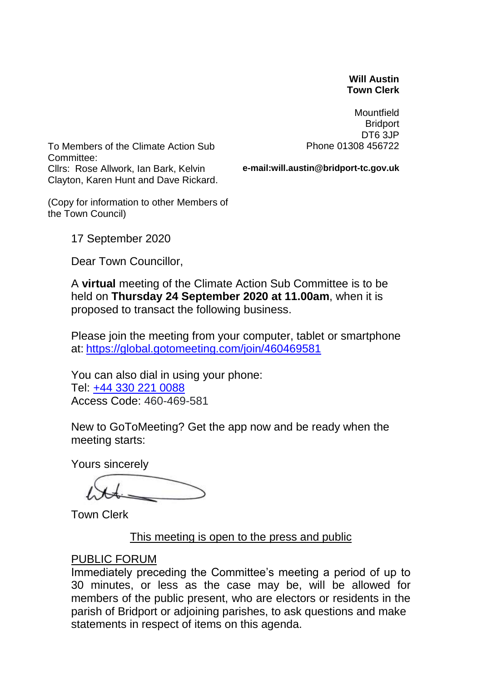#### **Will Austin Town Clerk**

**Mountfield Bridport** DT6 3JP Phone 01308 456722

To Members of the Climate Action Sub Committee: Cllrs: Rose Allwork, Ian Bark, Kelvin Clayton, Karen Hunt and Dave Rickard.

**e-mail:will.austin@bridport-tc.gov.uk**

(Copy for information to other Members of the Town Council)

17 September 2020

Dear Town Councillor,

A **virtual** meeting of the Climate Action Sub Committee is to be held on **Thursday 24 September 2020 at 11.00am**, when it is proposed to transact the following business.

Please join the meeting from your computer, tablet or smartphone at: <https://global.gotomeeting.com/join/460469581>

You can also dial in using your phone: Tel: [+44 330 221 0088](tel:+443302210088,,460469581) Access Code: 460-469-581

New to GoToMeeting? Get the app now and be ready when the meeting starts:

Yours sincerely

Town Clerk

## This meeting is open to the press and public

#### PUBLIC FORUM

Immediately preceding the Committee's meeting a period of up to 30 minutes, or less as the case may be, will be allowed for members of the public present, who are electors or residents in the parish of Bridport or adjoining parishes, to ask questions and make statements in respect of items on this agenda.